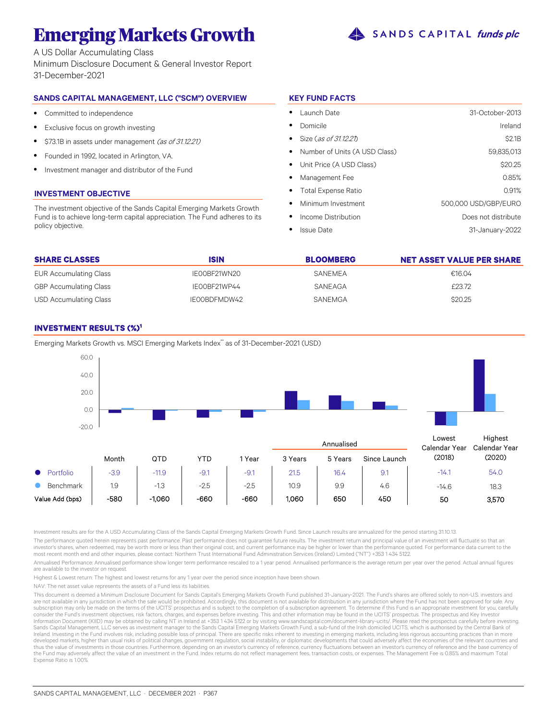# **Emerging Markets Growth**  $\triangle$  SANDS CAPITAL funds plc

A US Dollar Accumulating Class Minimum Disclosure Document & General Investor Report 31-December-2021

# **SANDS CAPITAL MANAGEMENT, LLC ("SCM") OVERVIEW**

- $\bullet$ Committed to independence
- $\bullet$ Exclusive focus on growth investing
- $\bullet$ \$73.1B in assets under management (as of 31.12.21)
- $\bullet$ Founded in 1992, located in Arlington, VA.
- $\bullet$ Investment manager and distributor of the Fund

## **INVESTMENT OBJECTIVE**

The investment objective of the Sands Capital Emerging Markets Growth Fund is to achieve long-term capital appreciation. The Fund adheres to its policy objective.

# **KEY FUND FACTS**

| Launch Date                     | 31-October-2013      |
|---------------------------------|----------------------|
| Domicile                        | Ireland              |
| Size (as of 31.12.21)           | \$2.1B               |
| • Number of Units (A USD Class) | 59,835,013           |
| • Unit Price (A USD Class)      | \$20.25              |
| Management Fee                  | 0.85%                |
| • Total Expense Ratio           | 0.91%                |
| Minimum Investment<br>$\bullet$ | 500,000 USD/GBP/EURO |
| Income Distribution             | Does not distribute  |
| <b>Issue Date</b>               | 31-January-2022      |

| <b>SHARE CLASSES</b>          | <b>ISIN</b>  | <b>BLOOMBERG</b> | NET ASSET VALUE PER SHARE |
|-------------------------------|--------------|------------------|---------------------------|
| <b>EUR Accumulating Class</b> | IE00BF21WN20 | SANEMEA          | €16.04                    |
| <b>GBP Accumulating Class</b> | IE00BF21WP44 | SANEAGA          | £23.72                    |
| USD Accumulating Class        | IE00BDFMDW42 | <b>SANEMGA</b>   | \$20.25                   |

# **INVESTMENT RESULTS (%)<sup>1</sup>**



Emerging Markets Growth vs. MSCI Emerging Markets Index\* as of 31-December-2021 (USD)

Investment results are for the A USD Accumulating Class of the Sands Capital Emerging Markets Growth Fund. Since Launch results are annualized for the period starting 31.10.13.

The performance quoted herein represents past performance. Past performance does not guarantee future results. The investment return and principal value of an investment will fluctuate so that an investor's shares, when redeemed, may be worth more or less than their original cost, and current performance may be higher or lower than the performance quoted. For performance data current to the most recent month end and other inquiries, please contact: Northern Trust International Fund Administration Services (Ireland) Limited ("NT") +353 1 434 5122.

Annualised Performance: Annualised performance show longer term performance rescaled to a 1 year period. Annualised performance is the average return per year over the period. Actual annual figures are available to the investor on request.

Highest & Lowest return: The highest and lowest returns for any 1 year over the period since inception have been shown.

NAV: The net asset value represents the assets of a Fund less its liabilities.

This document is deemed a Minimum Disclosure Document for Sands Capital's Emerging Markets Growth Fund published 31-January-2021. The Fund's shares are offered solely to non-U.S. investors and are not available in any jurisdiction in which the sale would be prohibited. Accordingly, this document is not available for distribution in any jurisdiction where the Fund has not been approved for sale. Any subscription may only be made on the terms of the UCITS' prospectus and is subject to the completion of a subscription agreement. To determine if this Fund is an appropriate investment for you, carefully<br>consider the Fund' Information Document (KIID) may be obtained by calling NT in Ireland at +353 1 434 5122 or by visiting www.sandscapital.com/document-library-ucits/. Please read the prospectus carefully before investing. Sands Capital Management, LLC serves as investment manager to the Sands Capital Emerging Markets Growth Fund, a sub-fund of the Irish domiciled UCITS, which is authorised by the Central Bank of Ireland. Investing in the Fund involves risk, including possible loss of principal. There are specific risks inherent to investing in emerging markets, including less rigorous accounting practices than in more developed markets, higher than usual risks of political changes, government regulation, social instability, or diplomatic developments that could adversely affect the economies of the relevant countries and thus the value of investments in those countries. Furthermore, depending on an investor's currency of reference, currency fluctuations between an investor's currency of reference and the base currency of the Fund may adversely affect the value of an investment in the Fund. Index returns do not reflect management fees, transaction costs, or expenses. The Management Fee is 0.85% and maximum Total Expense Ratio is 1.00%.